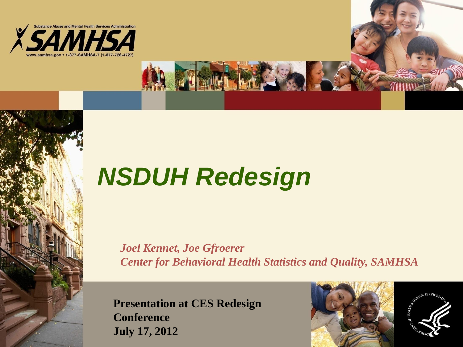

# *NSDUH Redesign*

*Joel Kennet, Joe Gfroerer Center for Behavioral Health Statistics and Quality, SAMHSA* 

**Presentation at CES Redesign Conference July 17, 2012** 



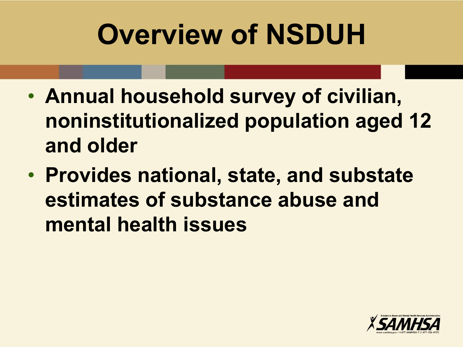# **Overview of NSDUH**

- **Annual household survey of civilian, noninstitutionalized population aged 12 and older**
- **Provides national, state, and substate estimates of substance abuse and mental health issues**

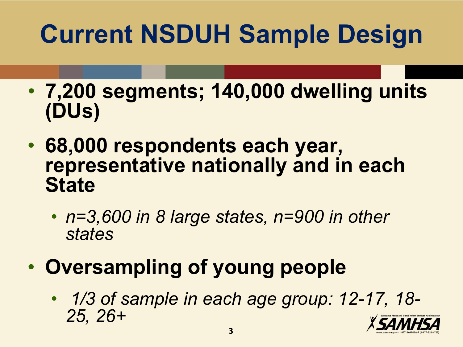# **Current NSDUH Sample Design**

- **7,200 segments; 140,000 dwelling units (DUs)**
- **68,000 respondents each year, representative nationally and in each State** 
	- *n=3,600 in 8 large states, n=900 in other states*
- **Oversampling of young people** 
	- • *1/3 of sample in each age group: 12-17, 18- 25, 26+*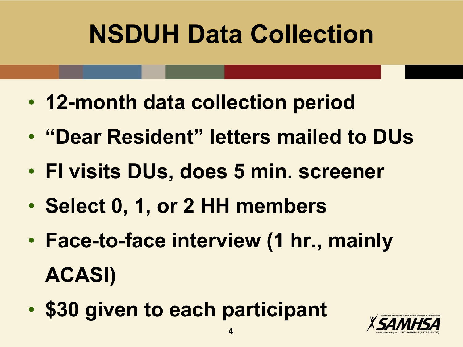# **NSDUH Data Collection**

- **12-month data collection period**
- **"Dear Resident" letters mailed to DUs**
- **FI visits DUs, does 5 min. screener**
- **Select 0, 1, or 2 HH members**
- **Face-to-face interview (1 hr., mainly ACASI)**
- **\$30 given to each participant**

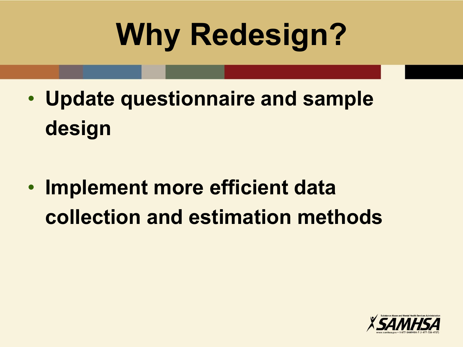# **Why Redesign?**

• **Update questionnaire and sample design** 

• **Implement more efficient data collection and estimation methods** 

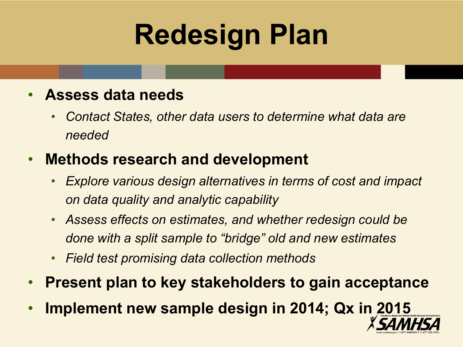# **Redesign Plan**

#### • **Assess data needs**

• *Contact States, other data users to determine what data are needed*

#### • **Methods research and development**

- *Explore various design alternatives in terms of cost and impact on data quality and analytic capability*
- *Assess effects on estimates, and whether redesign could be done with a split sample to "bridge" old and new estimates*
- *Field test promising data collection methods*
- **Present plan to key stakeholders to gain acceptance**
- **Implement new sample design in 2014; Qx in 2015**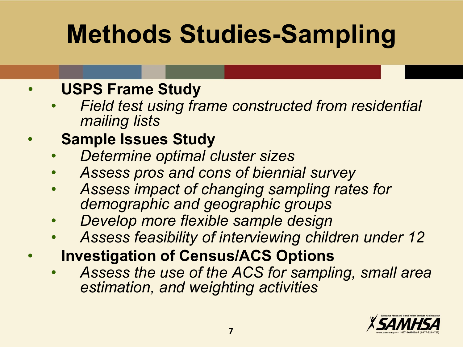## **Methods Studies-Sampling**

#### • **USPS Frame Study**

• *Field test using frame constructed from residential mailing lists* 

#### • **Sample Issues Study**

- *Determine optimal cluster sizes*
- *Assess pros and cons of biennial survey*
- *Assess impact of changing sampling rates for demographic and geographic groups*
- *Develop more flexible sample design*
- *Assess feasibility of interviewing children under 12*
- **Investigation of Census/ACS Options** 
	- *Assess the use of the ACS for sampling, small area estimation, and weighting activities*

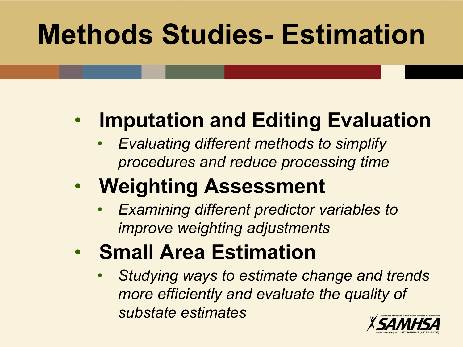# **Methods Studies- Estimation**

### • **Imputation and Editing Evaluation**

• *Evaluating different methods to simplify procedures and reduce processing time* 

### • **Weighting Assessment**

- *Examining different predictor variables to improve weighting adjustments*
- **Small Area Estimation** 
	- *Studying ways to estimate change and trends more efficiently and evaluate the quality of substate estimates*

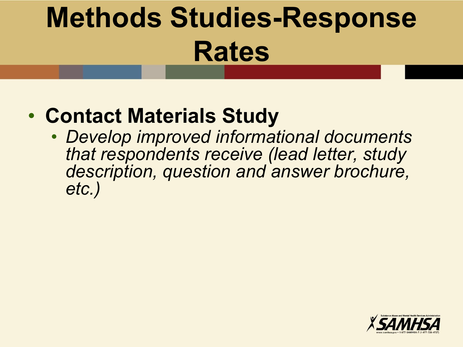# **Methods Studies-Response Rates**

### • **Contact Materials Study**

• *Develop improved informational documents that respondents receive (lead letter, study description, question and answer brochure, etc.)* 

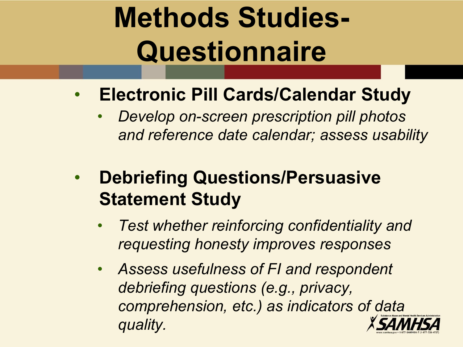# **Methods Studies-Questionnaire**

- **Electronic Pill Cards/Calendar Study** 
	- *Develop on-screen prescription pill photos and reference date calendar; assess usability*
- **Debriefing Questions/Persuasive Statement Study** 
	- *Test whether reinforcing confidentiality and requesting honesty improves responses*
	- *Assess usefulness of FI and respondent debriefing questions (e.g., privacy, comprehension, etc.) as indicators of data quality.*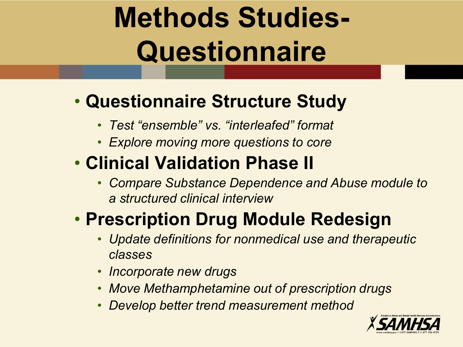# **Methods Studies-Questionnaire**

#### • **Questionnaire Structure Study**

- *Test "ensemble" vs. "interleafed" format*
- *Explore moving more questions to core*

### • **Clinical Validation Phase II**

• *Compare Substance Dependence and Abuse module to a structured clinical interview* 

### • **Prescription Drug Module Redesign**

- *Update definitions for nonmedical use and therapeutic classes*
- *Incorporate new drugs*
- *Move Methamphetamine out of prescription drugs*
- *Develop better trend measurement method*

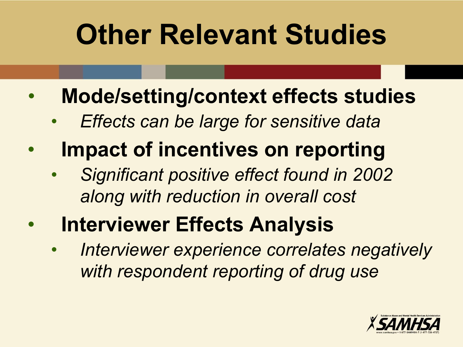# **Other Relevant Studies**

- **Mode/setting/context effects studies** 
	- *Effects can be large for sensitive data*
- **Impact of incentives on reporting** 
	- *Significant positive effect found in 2002 along with reduction in overall cost*
- **Interviewer Effects Analysis** 
	- *Interviewer experience correlates negatively with respondent reporting of drug use*

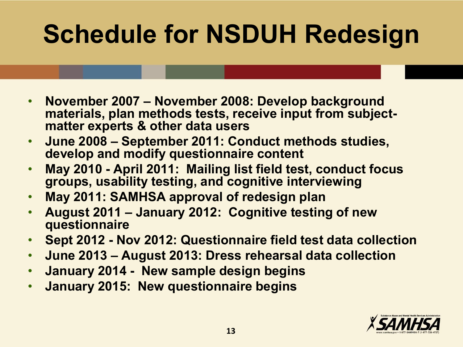# **Schedule for NSDUH Redesign**

- **November 2007 November 2008: Develop background materials, plan methods tests, receive input from subjectmatter experts & other data users**
- **June 2008 September 2011: Conduct methods studies, develop and modify questionnaire content**
- **May 2010 April 2011: Mailing list field test, conduct focus groups, usability testing, and cognitive interviewing**
- **May 2011: SAMHSA approval of redesign plan**
- **August 2011 January 2012: Cognitive testing of new questionnaire**
- **Sept 2012 Nov 2012: Questionnaire field test data collection**
- **June 2013 August 2013: Dress rehearsal data collection**
- **January 2014 New sample design begins**
- **January 2015: New questionnaire begins**

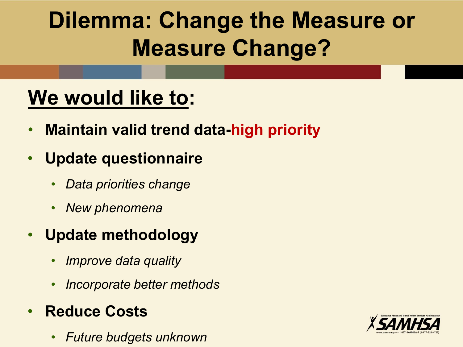### **Dilemma: Change the Measure or Measure Change?**

### **We would like to:**

- **Maintain valid trend data-high priority**
- **Update questionnaire** 
	- *Data priorities change*
	- *New phenomena*
- **Update methodology** 
	- *Improve data quality*
	- *Incorporate better methods*
- **Reduce Costs** 
	- *Future budgets unknown*

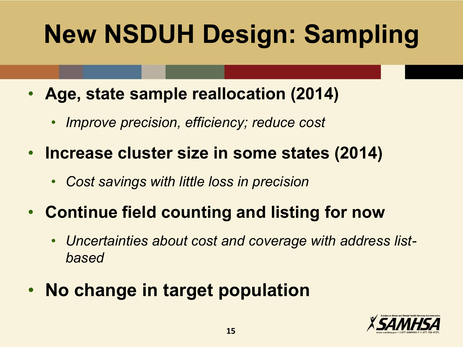# **New NSDUH Design: Sampling**

- **Age, state sample reallocation (2014)** 
	- *Improve precision, efficiency; reduce cost*
- **Increase cluster size in some states (2014)** 
	- *Cost savings with little loss in precision*
- **Continue field counting and listing for now** 
	- *Uncertainties about cost and coverage with address listbased*
- **No change in target population**

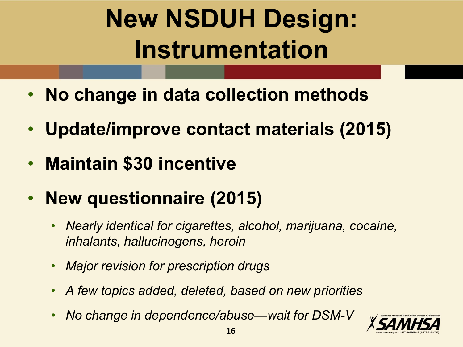# **New NSDUH Design: Instrumentation**

- **No change in data collection methods**
- **Update/improve contact materials (2015)**
- **Maintain \$30 incentive**
- **New questionnaire (2015)** 
	- *Nearly identical for cigarettes, alcohol, marijuana, cocaine, inhalants, hallucinogens, heroin*
	- *Major revision for prescription drugs*
	- *A few topics added, deleted, based on new priorities*
	- *No change in dependence/abuse—wait for DSM-V*

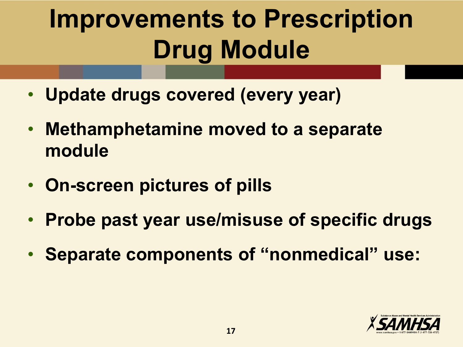# **Improvements to Prescription Drug Module**

- **Update drugs covered (every year)**
- **Methamphetamine moved to a separate module**
- **On-screen pictures of pills**
- **Probe past year use/misuse of specific drugs**
- **Separate components of "nonmedical" use:**

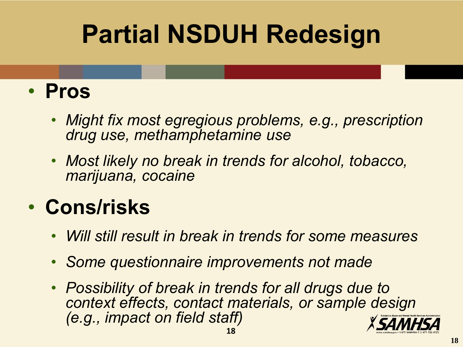# **Partial NSDUH Redesign**

### • **Pros**

- *Might fix most egregious problems, e.g., prescription drug use, methamphetamine use*
- *Most likely no break in trends for alcohol, tobacco, marijuana, cocaine*

### • **Cons/risks**

- *Will still result in break in trends for some measures*
- *Some questionnaire improvements not made*
- *Possibility of break in trends for all drugs due to context effects, contact materials, or sample design (e.g., impact on field staff)*